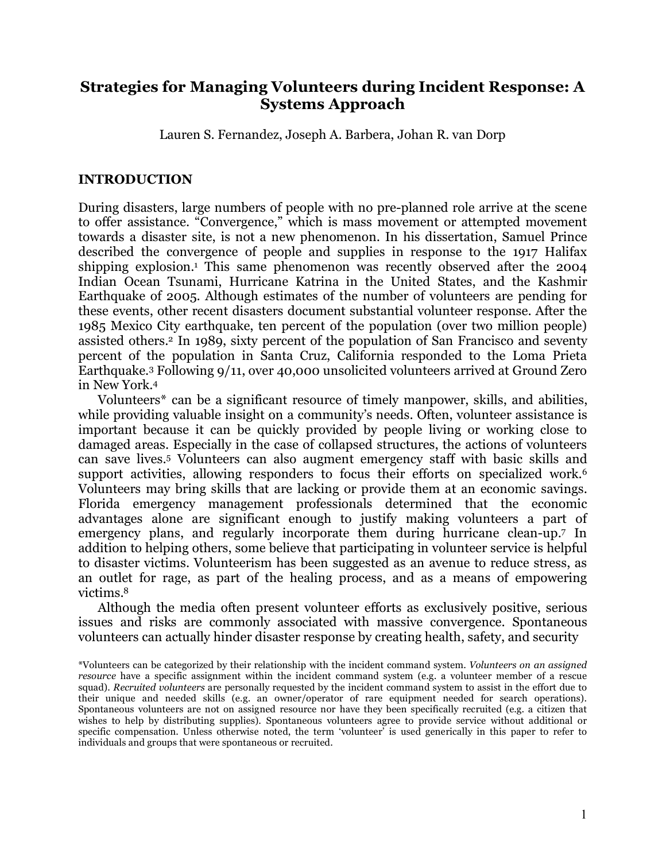# **Strategies for Managing Volunteers during Incident Response: A Systems Approach**

Lauren S. Fernandez, Joseph A. Barbera, Johan R. van Dorp

#### **INTRODUCTION**

During disasters, large numbers of people with no pre-planned role arrive at the scene to offer assistance. "Convergence," which is mass movement or attempted movement towards a disaster site, is not a new phenomenon. In his dissertation, Samuel Prince described the convergence of people and supplies in response to the 1917 Halifax shipping explosion. <sup>1</sup> This same phenomenon was recently observed after the 2004 Indian Ocean Tsunami, Hurricane Katrina in the United States, and the Kashmir Earthquake of 2005. Although estimates of the number of volunteers are pending for these events, other recent disasters document substantial volunteer response. After the 1985 Mexico City earthquake, ten percent of the population (over two million people) assisted others. <sup>2</sup> In 1989, sixty percent of the population of San Francisco and seventy percent of the population in Santa Cruz, California responded to the Loma Prieta Earthquake.3 Following 9/11, over 40,000 unsolicited volunteers arrived at Ground Zero in New York. 4

Volunteers\* can be a significant resource of timely manpower, skills, and abilities, while providing valuable insight on a community's needs. Often, volunteer assistance is important because it can be quickly provided by people living or working close to damaged areas. Especially in the case of collapsed structures, the actions of volunteers can save lives. <sup>5</sup> Volunteers can also augment emergency staff with basic skills and support activities, allowing responders to focus their efforts on specialized work.<sup>6</sup> Volunteers may bring skills that are lacking or provide them at an economic savings. Florida emergency management professionals determined that the economic advantages alone are significant enough to justify making volunteers a part of emergency plans, and regularly incorporate them during hurricane clean-up.7 In addition to helping others, some believe that participating in volunteer service is helpful to disaster victims. Volunteerism has been suggested as an avenue to reduce stress, as an outlet for rage, as part of the healing process, and as a means of empowering victims. 8

Although the media often present volunteer efforts as exclusively positive, serious issues and risks are commonly associated with massive convergence. Spontaneous volunteers can actually hinder disaster response by creating health, safety, and security

<sup>\*</sup>Volunteers can be categorized by their relationship with the incident command system. *Volunteers on an assigned resource* have a specific assignment within the incident command system (e.g. a volunteer member of a rescue squad). *Recruited volunteers* are personally requested by the incident command system to assist in the effort due to their unique and needed skills (e.g. an owner/operator of rare equipment needed for search operations). Spontaneous volunteers are not on assigned resource nor have they been specifically recruited (e.g. a citizen that wishes to help by distributing supplies). Spontaneous volunteers agree to provide service without additional or specific compensation. Unless otherwise noted, the term 'volunteer' is used generically in this paper to refer to individuals and groups that were spontaneous or recruited.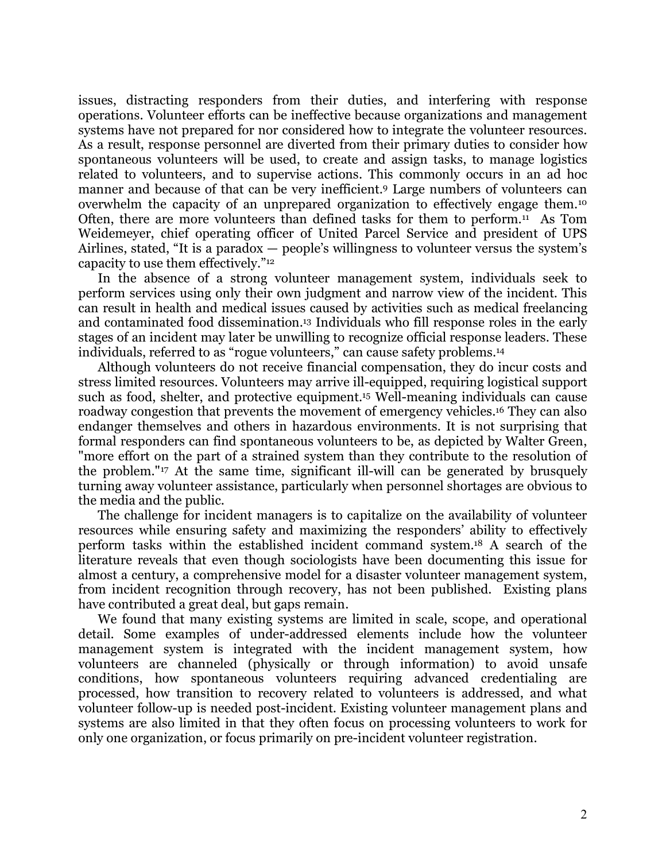issues, distracting responders from their duties, and interfering with response operations. Volunteer efforts can be ineffective because organizations and management systems have not prepared for nor considered how to integrate the volunteer resources. As a result, response personnel are diverted from their primary duties to consider how spontaneous volunteers will be used, to create and assign tasks, to manage logistics related to volunteers, and to supervise actions. This commonly occurs in an ad hoc manner and because of that can be very inefficient.9 Large numbers of volunteers can overwhelm the capacity of an unprepared organization to effectively engage them.10 Often, there are more volunteers than defined tasks for them to perform.11 As Tom Weidemeyer, chief operating officer of United Parcel Service and president of UPS Airlines, stated, "It is a paradox — people's willingness to volunteer versus the system's capacity to use them effectively."12

In the absence of a strong volunteer management system, individuals seek to perform services using only their own judgment and narrow view of the incident. This can result in health and medical issues caused by activities such as medical freelancing and contaminated food dissemination. <sup>13</sup> Individuals who fill response roles in the early stages of an incident may later be unwilling to recognize official response leaders. These individuals, referred to as "rogue volunteers," can cause safety problems.14

Although volunteers do not receive financial compensation, they do incur costs and stress limited resources. Volunteers may arrive ill-equipped, requiring logistical support such as food, shelter, and protective equipment. <sup>15</sup> Well-meaning individuals can cause roadway congestion that prevents the movement of emergency vehicles.16 They can also endanger themselves and others in hazardous environments. It is not surprising that formal responders can find spontaneous volunteers to be, as depicted by Walter Green, "more effort on the part of a strained system than they contribute to the resolution of the problem."17 At the same time, significant ill-will can be generated by brusquely turning away volunteer assistance, particularly when personnel shortages are obvious to the media and the public.

The challenge for incident managers is to capitalize on the availability of volunteer resources while ensuring safety and maximizing the responders' ability to effectively perform tasks within the established incident command system. <sup>18</sup> A search of the literature reveals that even though sociologists have been documenting this issue for almost a century, a comprehensive model for a disaster volunteer management system, from incident recognition through recovery, has not been published. Existing plans have contributed a great deal, but gaps remain.

We found that many existing systems are limited in scale, scope, and operational detail. Some examples of under-addressed elements include how the volunteer management system is integrated with the incident management system, how volunteers are channeled (physically or through information) to avoid unsafe conditions, how spontaneous volunteers requiring advanced credentialing are processed, how transition to recovery related to volunteers is addressed, and what volunteer follow-up is needed post-incident. Existing volunteer management plans and systems are also limited in that they often focus on processing volunteers to work for only one organization, or focus primarily on pre-incident volunteer registration.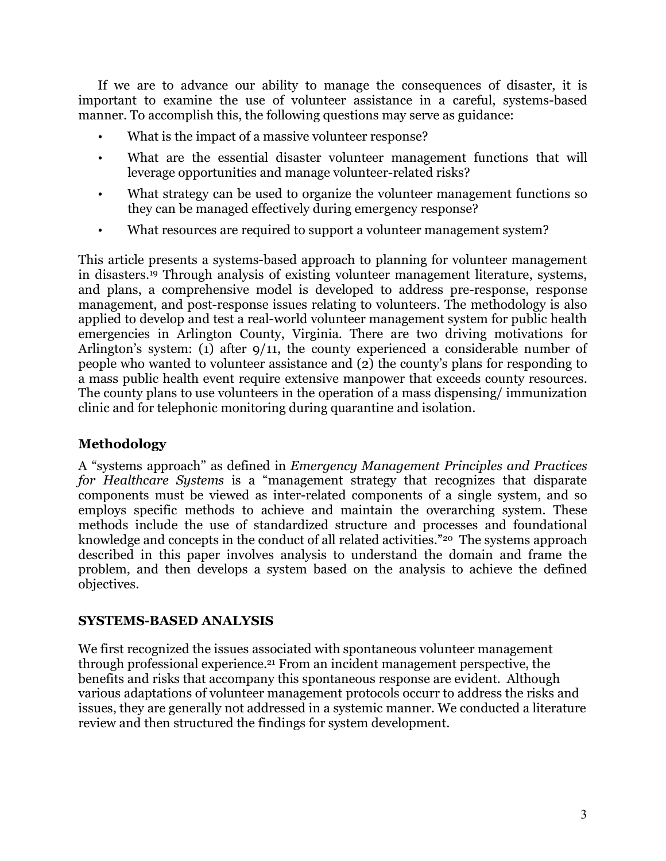If we are to advance our ability to manage the consequences of disaster, it is important to examine the use of volunteer assistance in a careful, systems-based manner. To accomplish this, the following questions may serve as guidance:

- What is the impact of a massive volunteer response?
- What are the essential disaster volunteer management functions that will leverage opportunities and manage volunteer-related risks?
- What strategy can be used to organize the volunteer management functions so they can be managed effectively during emergency response?
- What resources are required to support a volunteer management system?

This article presents a systems-based approach to planning for volunteer management in disasters. <sup>19</sup> Through analysis of existing volunteer management literature, systems, and plans, a comprehensive model is developed to address pre-response, response management, and post-response issues relating to volunteers. The methodology is also applied to develop and test a real-world volunteer management system for public health emergencies in Arlington County, Virginia. There are two driving motivations for Arlington's system: (1) after 9/11, the county experienced a considerable number of people who wanted to volunteer assistance and (2) the county's plans for responding to a mass public health event require extensive manpower that exceeds county resources. The county plans to use volunteers in the operation of a mass dispensing/ immunization clinic and for telephonic monitoring during quarantine and isolation.

# **Methodology**

A "systems approach" as defined in *Emergency Management Principles and Practices for Healthcare Systems* is a "management strategy that recognizes that disparate components must be viewed as inter-related components of a single system, and so employs specific methods to achieve and maintain the overarching system. These methods include the use of standardized structure and processes and foundational knowledge and concepts in the conduct of all related activities."20 The systems approach described in this paper involves analysis to understand the domain and frame the problem, and then develops a system based on the analysis to achieve the defined objectives.

## **SYSTEMS-BASED ANALYSIS**

We first recognized the issues associated with spontaneous volunteer management through professional experience.21 From an incident management perspective, the benefits and risks that accompany this spontaneous response are evident. Although various adaptations of volunteer management protocols occurr to address the risks and issues, they are generally not addressed in a systemic manner. We conducted a literature review and then structured the findings for system development.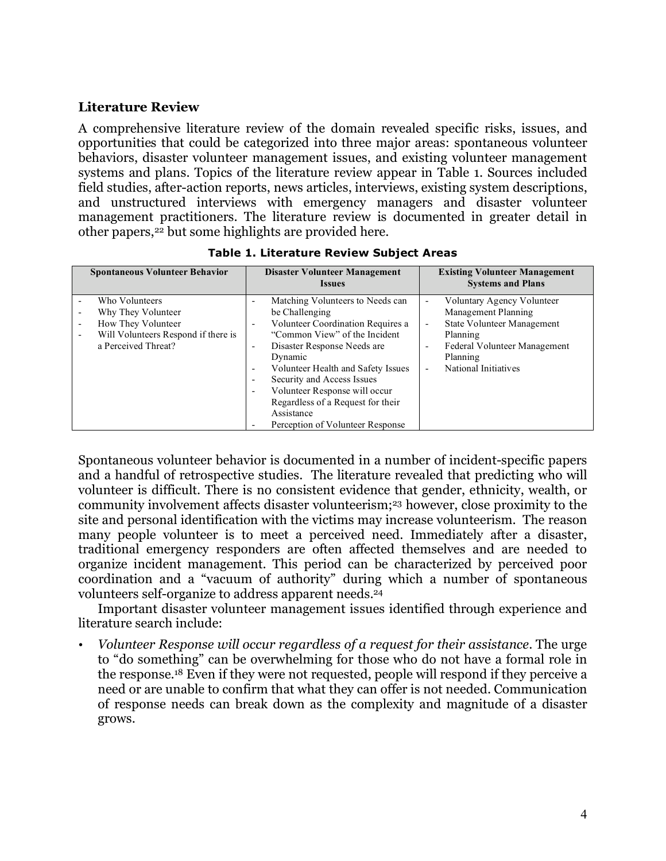#### **Literature Review**

A comprehensive literature review of the domain revealed specific risks, issues, and opportunities that could be categorized into three major areas: spontaneous volunteer behaviors, disaster volunteer management issues, and existing volunteer management systems and plans. Topics of the literature review appear in Table 1. Sources included field studies, after-action reports, news articles, interviews, existing system descriptions, and unstructured interviews with emergency managers and disaster volunteer management practitioners. The literature review is documented in greater detail in other papers,<sup>22</sup> but some highlights are provided here.

| <b>Spontaneous Volunteer Behavior</b>                           | Disaster Volunteer Management<br><b>Issues</b>                 | <b>Existing Volunteer Management</b><br><b>Systems and Plans</b> |
|-----------------------------------------------------------------|----------------------------------------------------------------|------------------------------------------------------------------|
| Who Volunteers                                                  | Matching Volunteers to Needs can<br>$\overline{\phantom{0}}$   | Voluntary Agency Volunteer<br>$\overline{\phantom{0}}$           |
| Why They Volunteer                                              | be Challenging                                                 | Management Planning                                              |
| How They Volunteer                                              | Volunteer Coordination Requires a<br>$\overline{\phantom{a}}$  | <b>State Volunteer Management</b><br>$\overline{\phantom{a}}$    |
| Will Volunteers Respond if there is<br>$\overline{\phantom{0}}$ | "Common View" of the Incident                                  | Planning                                                         |
| a Perceived Threat?                                             | Disaster Response Needs are.<br>$\overline{\phantom{a}}$       | Federal Volunteer Management                                     |
|                                                                 | Dynamic                                                        | Planning                                                         |
|                                                                 | Volunteer Health and Safety Issues<br>$\overline{\phantom{a}}$ | National Initiatives                                             |
|                                                                 | Security and Access Issues<br>$\overline{\phantom{a}}$         |                                                                  |
|                                                                 | Volunteer Response will occur<br>$\overline{\phantom{a}}$      |                                                                  |
|                                                                 | Regardless of a Request for their                              |                                                                  |
|                                                                 | Assistance                                                     |                                                                  |
|                                                                 | Perception of Volunteer Response                               |                                                                  |

**Table 1. Literature Review Subject Areas**

Spontaneous volunteer behavior is documented in a number of incident-specific papers and a handful of retrospective studies. The literature revealed that predicting who will volunteer is difficult. There is no consistent evidence that gender, ethnicity, wealth, or community involvement affects disaster volunteerism;23 however, close proximity to the site and personal identification with the victims may increase volunteerism. The reason many people volunteer is to meet a perceived need. Immediately after a disaster, traditional emergency responders are often affected themselves and are needed to organize incident management. This period can be characterized by perceived poor coordination and a "vacuum of authority" during which a number of spontaneous volunteers self-organize to address apparent needs.24

Important disaster volunteer management issues identified through experience and literature search include:

• *Volunteer Response will occur regardless of a request for their assistance*. The urge to "do something" can be overwhelming for those who do not have a formal role in the response. <sup>18</sup> Even if they were not requested, people will respond if they perceive a need or are unable to confirm that what they can offer is not needed. Communication of response needs can break down as the complexity and magnitude of a disaster grows.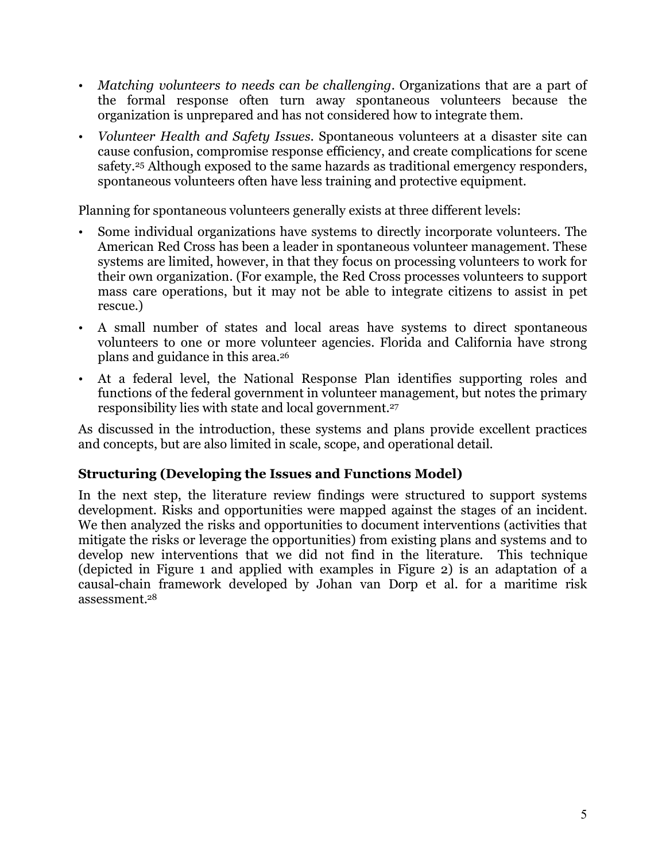- *Matching volunteers to needs can be challenging*. Organizations that are a part of the formal response often turn away spontaneous volunteers because the organization is unprepared and has not considered how to integrate them.
- *Volunteer Health and Safety Issues.* Spontaneous volunteers at a disaster site can cause confusion, compromise response efficiency, and create complications for scene safety.25 Although exposed to the same hazards as traditional emergency responders, spontaneous volunteers often have less training and protective equipment.

Planning for spontaneous volunteers generally exists at three different levels:

- Some individual organizations have systems to directly incorporate volunteers. The American Red Cross has been a leader in spontaneous volunteer management. These systems are limited, however, in that they focus on processing volunteers to work for their own organization. (For example, the Red Cross processes volunteers to support mass care operations, but it may not be able to integrate citizens to assist in pet rescue.)
- A small number of states and local areas have systems to direct spontaneous volunteers to one or more volunteer agencies. Florida and California have strong plans and guidance in this area.26
- At a federal level, the National Response Plan identifies supporting roles and functions of the federal government in volunteer management, but notes the primary responsibility lies with state and local government. 27

As discussed in the introduction, these systems and plans provide excellent practices and concepts, but are also limited in scale, scope, and operational detail.

# **Structuring (Developing the Issues and Functions Model)**

In the next step, the literature review findings were structured to support systems development. Risks and opportunities were mapped against the stages of an incident. We then analyzed the risks and opportunities to document interventions (activities that mitigate the risks or leverage the opportunities) from existing plans and systems and to develop new interventions that we did not find in the literature. This technique (depicted in Figure 1 and applied with examples in Figure 2) is an adaptation of a causal-chain framework developed by Johan van Dorp et al. for a maritime risk assessment. 28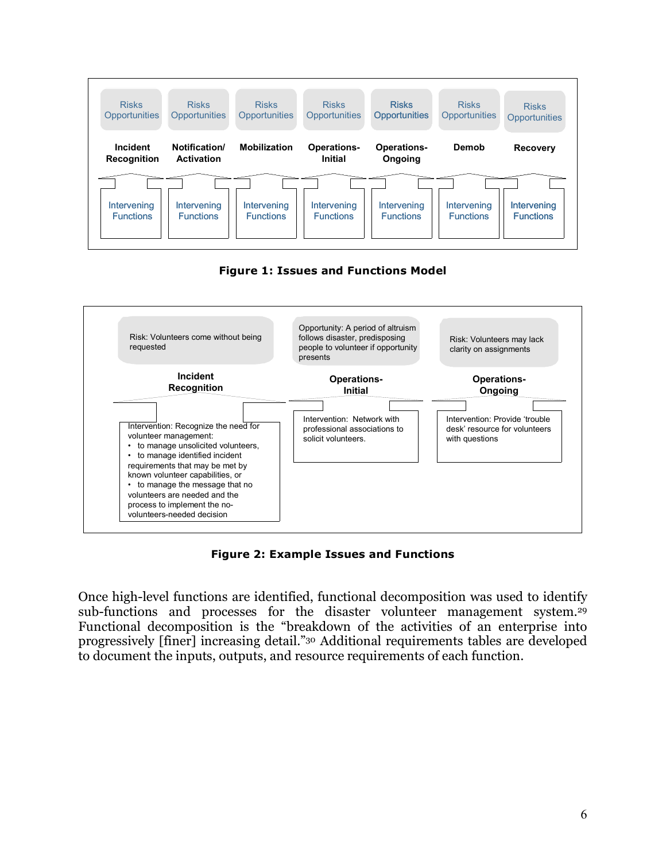

**Figure 1: Issues and Functions Model**



**Figure 2: Example Issues and Functions**

Once high-level functions are identified, functional decomposition was used to identify sub-functions and processes for the disaster volunteer management system.<sup>29</sup> Functional decomposition is the "breakdown of the activities of an enterprise into progressively [finer] increasing detail."30 Additional requirements tables are developed to document the inputs, outputs, and resource requirements of each function.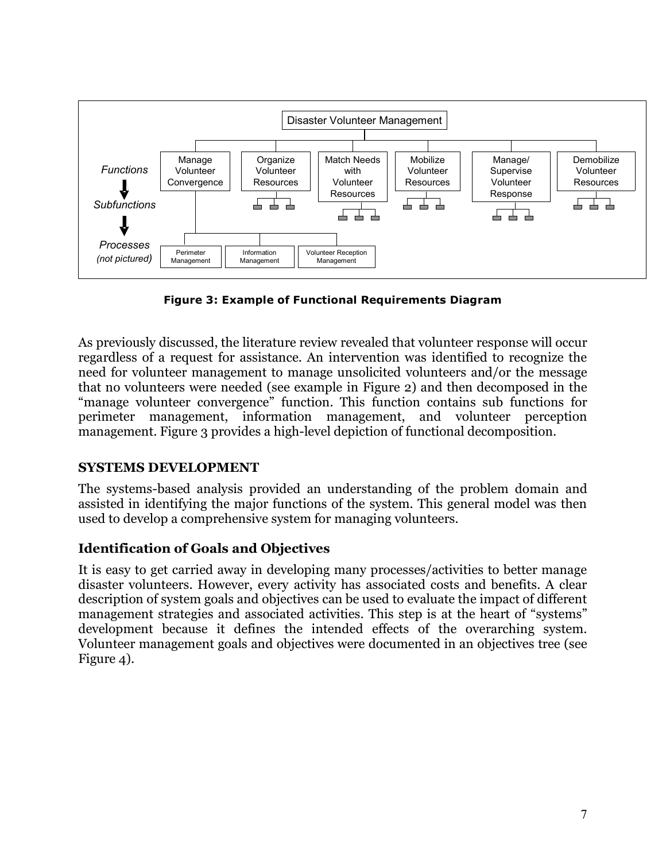

**Figure 3: Example of Functional Requirements Diagram**

As previously discussed, the literature review revealed that volunteer response will occur regardless of a request for assistance. An intervention was identified to recognize the need for volunteer management to manage unsolicited volunteers and/or the message that no volunteers were needed (see example in Figure 2) and then decomposed in the "manage volunteer convergence" function. This function contains sub functions for perimeter management, information management, and volunteer perception management. Figure 3 provides a high-level depiction of functional decomposition.

## **SYSTEMS DEVELOPMENT**

The systems-based analysis provided an understanding of the problem domain and assisted in identifying the major functions of the system. This general model was then used to develop a comprehensive system for managing volunteers.

## **Identification of Goals and Objectives**

It is easy to get carried away in developing many processes/activities to better manage disaster volunteers. However, every activity has associated costs and benefits. A clear description of system goals and objectives can be used to evaluate the impact of different management strategies and associated activities. This step is at the heart of "systems" development because it defines the intended effects of the overarching system. Volunteer management goals and objectives were documented in an objectives tree (see Figure 4).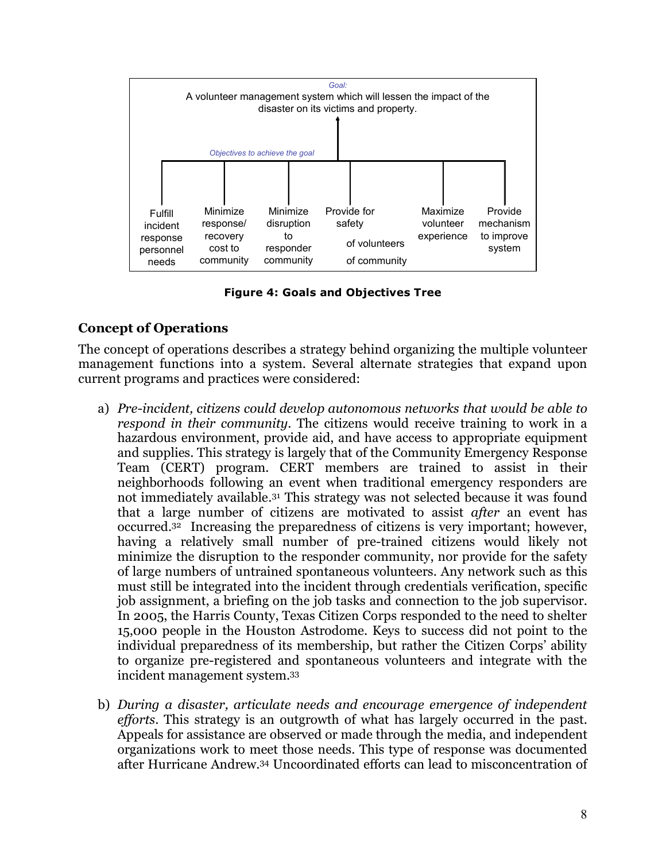

**Figure 4: Goals and Objectives Tree**

## **Concept of Operations**

The concept of operations describes a strategy behind organizing the multiple volunteer management functions into a system. Several alternate strategies that expand upon current programs and practices were considered:

- a) *Pre-incident, citizens could develop autonomous networks that would be able to respond in their community*. The citizens would receive training to work in a hazardous environment, provide aid, and have access to appropriate equipment and supplies. This strategy is largely that of the Community Emergency Response Team (CERT) program. CERT members are trained to assist in their neighborhoods following an event when traditional emergency responders are not immediately available.31 This strategy was not selected because it was found that a large number of citizens are motivated to assist *after* an event has occurred. <sup>32</sup> Increasing the preparedness of citizens is very important; however, having a relatively small number of pre-trained citizens would likely not minimize the disruption to the responder community, nor provide for the safety of large numbers of untrained spontaneous volunteers. Any network such as this must still be integrated into the incident through credentials verification, specific job assignment, a briefing on the job tasks and connection to the job supervisor. In 2005, the Harris County, Texas Citizen Corps responded to the need to shelter 15,000 people in the Houston Astrodome. Keys to success did not point to the individual preparedness of its membership, but rather the Citizen Corps' ability to organize pre-registered and spontaneous volunteers and integrate with the incident management system. 33
- b) *During a disaster, articulate needs and encourage emergence of independent efforts*. This strategy is an outgrowth of what has largely occurred in the past. Appeals for assistance are observed or made through the media, and independent organizations work to meet those needs. This type of response was documented after Hurricane Andrew.34 Uncoordinated efforts can lead to misconcentration of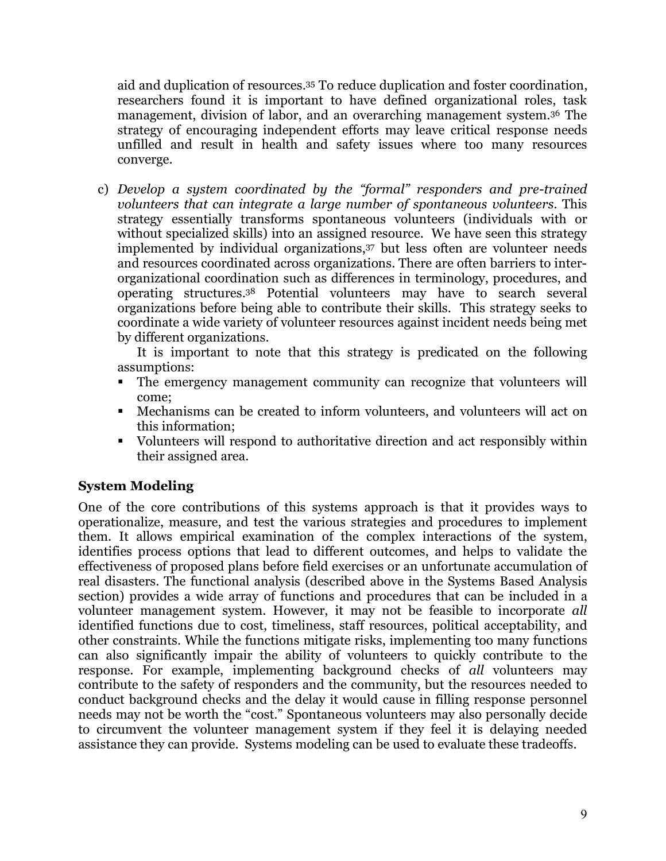aid and duplication of resources. <sup>35</sup> To reduce duplication and foster coordination, researchers found it is important to have defined organizational roles, task management, division of labor, and an overarching management system.36 The strategy of encouraging independent efforts may leave critical response needs unfilled and result in health and safety issues where too many resources converge.

c) *Develop a system coordinated by the "formal" responders and pre-trained volunteers that can integrate a large number of spontaneous volunteers.* This strategy essentially transforms spontaneous volunteers (individuals with or without specialized skills) into an assigned resource. We have seen this strategy implemented by individual organizations, <sup>37</sup> but less often are volunteer needs and resources coordinated across organizations. There are often barriers to interorganizational coordination such as differences in terminology, procedures, and operating structures. <sup>38</sup> Potential volunteers may have to search several organizations before being able to contribute their skills. This strategy seeks to coordinate a wide variety of volunteer resources against incident needs being met by different organizations.

It is important to note that this strategy is predicated on the following assumptions:

- The emergency management community can recognize that volunteers will come;
- Mechanisms can be created to inform volunteers, and volunteers will act on this information;
- Volunteers will respond to authoritative direction and act responsibly within their assigned area.

## **System Modeling**

One of the core contributions of this systems approach is that it provides ways to operationalize, measure, and test the various strategies and procedures to implement them. It allows empirical examination of the complex interactions of the system, identifies process options that lead to different outcomes, and helps to validate the effectiveness of proposed plans before field exercises or an unfortunate accumulation of real disasters. The functional analysis (described above in the Systems Based Analysis section) provides a wide array of functions and procedures that can be included in a volunteer management system. However, it may not be feasible to incorporate *all* identified functions due to cost, timeliness, staff resources, political acceptability, and other constraints. While the functions mitigate risks, implementing too many functions can also significantly impair the ability of volunteers to quickly contribute to the response. For example, implementing background checks of *all* volunteers may contribute to the safety of responders and the community, but the resources needed to conduct background checks and the delay it would cause in filling response personnel needs may not be worth the "cost." Spontaneous volunteers may also personally decide to circumvent the volunteer management system if they feel it is delaying needed assistance they can provide. Systems modeling can be used to evaluate these tradeoffs.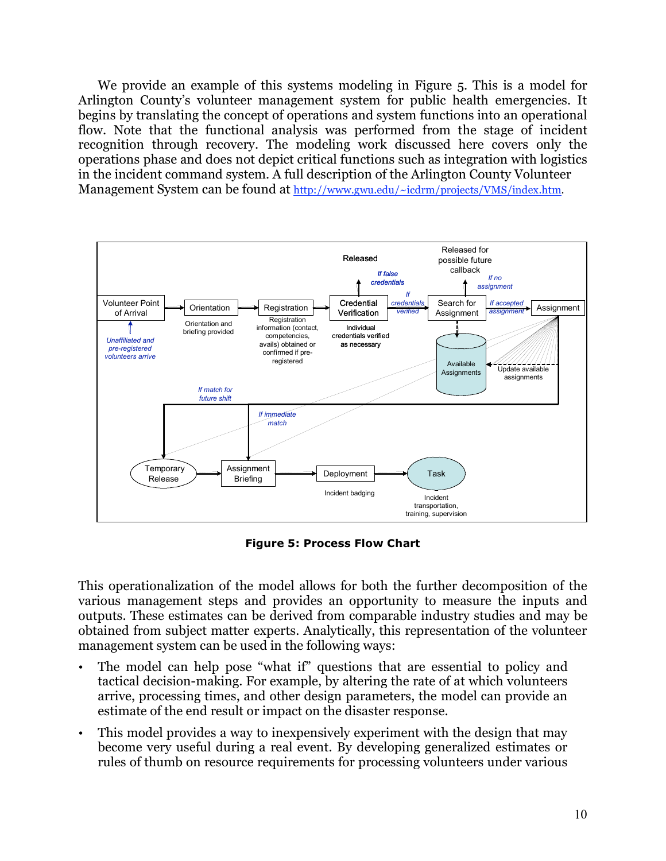We provide an example of this systems modeling in Figure 5. This is a model for Arlington County's volunteer management system for public health emergencies. It begins by translating the concept of operations and system functions into an operational flow. Note that the functional analysis was performed from the stage of incident recognition through recovery. The modeling work discussed here covers only the operations phase and does not depict critical functions such as integration with logistics in the incident command system. A full description of the Arlington County Volunteer Management System can be found at http://www.gwu.edu/~icdrm/projects/VMS/index.htm.



**Figure 5: Process Flow Chart**

This operationalization of the model allows for both the further decomposition of the various management steps and provides an opportunity to measure the inputs and outputs. These estimates can be derived from comparable industry studies and may be obtained from subject matter experts. Analytically, this representation of the volunteer management system can be used in the following ways:

- The model can help pose "what if" questions that are essential to policy and tactical decision-making. For example, by altering the rate of at which volunteers arrive, processing times, and other design parameters, the model can provide an estimate of the end result or impact on the disaster response.
- This model provides a way to inexpensively experiment with the design that may become very useful during a real event. By developing generalized estimates or rules of thumb on resource requirements for processing volunteers under various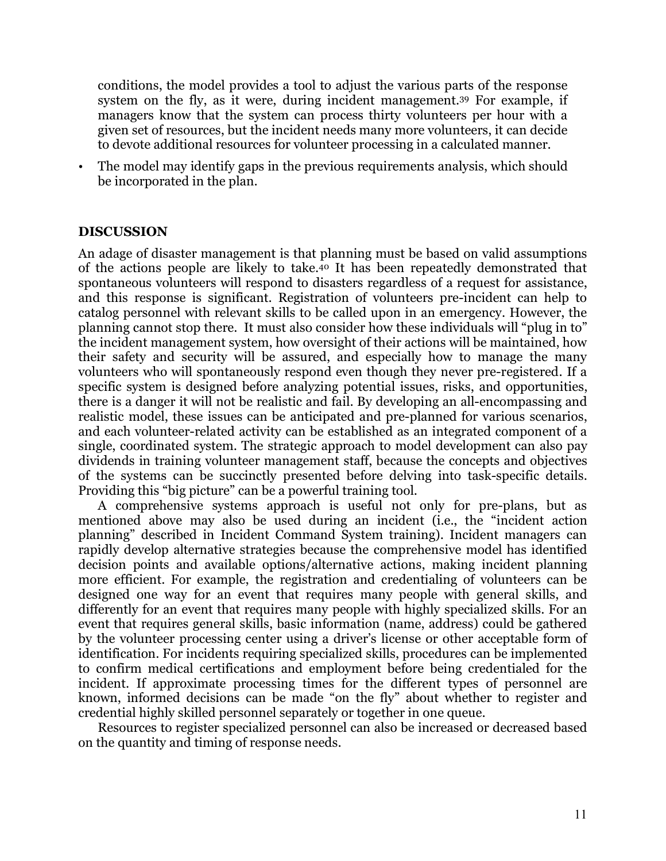conditions, the model provides a tool to adjust the various parts of the response system on the fly, as it were, during incident management.39 For example, if managers know that the system can process thirty volunteers per hour with a given set of resources, but the incident needs many more volunteers, it can decide to devote additional resources for volunteer processing in a calculated manner.

The model may identify gaps in the previous requirements analysis, which should be incorporated in the plan.

#### **DISCUSSION**

An adage of disaster management is that planning must be based on valid assumptions of the actions people are likely to take.40 It has been repeatedly demonstrated that spontaneous volunteers will respond to disasters regardless of a request for assistance, and this response is significant. Registration of volunteers pre-incident can help to catalog personnel with relevant skills to be called upon in an emergency. However, the planning cannot stop there. It must also consider how these individuals will "plug in to" the incident management system, how oversight of their actions will be maintained, how their safety and security will be assured, and especially how to manage the many volunteers who will spontaneously respond even though they never pre-registered. If a specific system is designed before analyzing potential issues, risks, and opportunities, there is a danger it will not be realistic and fail. By developing an all-encompassing and realistic model, these issues can be anticipated and pre-planned for various scenarios, and each volunteer-related activity can be established as an integrated component of a single, coordinated system. The strategic approach to model development can also pay dividends in training volunteer management staff, because the concepts and objectives of the systems can be succinctly presented before delving into task-specific details. Providing this "big picture" can be a powerful training tool.

A comprehensive systems approach is useful not only for pre-plans, but as mentioned above may also be used during an incident (i.e., the "incident action planning" described in Incident Command System training). Incident managers can rapidly develop alternative strategies because the comprehensive model has identified decision points and available options/alternative actions, making incident planning more efficient. For example, the registration and credentialing of volunteers can be designed one way for an event that requires many people with general skills, and differently for an event that requires many people with highly specialized skills. For an event that requires general skills, basic information (name, address) could be gathered by the volunteer processing center using a driver's license or other acceptable form of identification. For incidents requiring specialized skills, procedures can be implemented to confirm medical certifications and employment before being credentialed for the incident. If approximate processing times for the different types of personnel are known, informed decisions can be made "on the fly" about whether to register and credential highly skilled personnel separately or together in one queue.

Resources to register specialized personnel can also be increased or decreased based on the quantity and timing of response needs.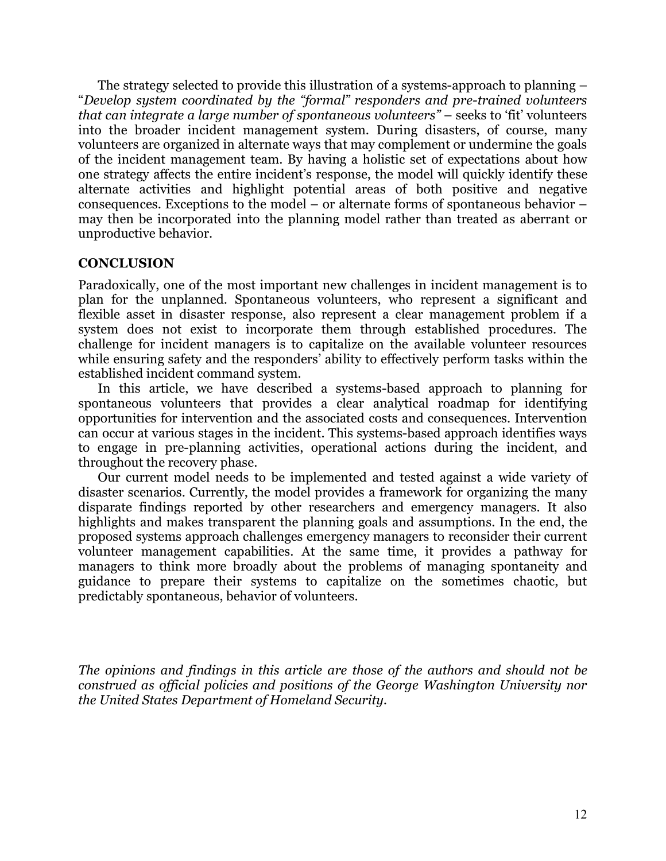The strategy selected to provide this illustration of a systems-approach to planning – "*Develop system coordinated by the "formal" responders and pre-trained volunteers that can integrate a large number of spontaneous volunteers"* – seeks to 'fit' volunteers into the broader incident management system. During disasters, of course, many volunteers are organized in alternate ways that may complement or undermine the goals of the incident management team. By having a holistic set of expectations about how one strategy affects the entire incident's response, the model will quickly identify these alternate activities and highlight potential areas of both positive and negative consequences. Exceptions to the model – or alternate forms of spontaneous behavior – may then be incorporated into the planning model rather than treated as aberrant or unproductive behavior.

#### **CONCLUSION**

Paradoxically, one of the most important new challenges in incident management is to plan for the unplanned. Spontaneous volunteers, who represent a significant and flexible asset in disaster response, also represent a clear management problem if a system does not exist to incorporate them through established procedures. The challenge for incident managers is to capitalize on the available volunteer resources while ensuring safety and the responders' ability to effectively perform tasks within the established incident command system.

In this article, we have described a systems-based approach to planning for spontaneous volunteers that provides a clear analytical roadmap for identifying opportunities for intervention and the associated costs and consequences. Intervention can occur at various stages in the incident. This systems-based approach identifies ways to engage in pre-planning activities, operational actions during the incident, and throughout the recovery phase.

Our current model needs to be implemented and tested against a wide variety of disaster scenarios. Currently, the model provides a framework for organizing the many disparate findings reported by other researchers and emergency managers. It also highlights and makes transparent the planning goals and assumptions. In the end, the proposed systems approach challenges emergency managers to reconsider their current volunteer management capabilities. At the same time, it provides a pathway for managers to think more broadly about the problems of managing spontaneity and guidance to prepare their systems to capitalize on the sometimes chaotic, but predictably spontaneous, behavior of volunteers.

*The opinions and findings in this article are those of the authors and should not be construed as official policies and positions of the George Washington University nor the United States Department of Homeland Security.*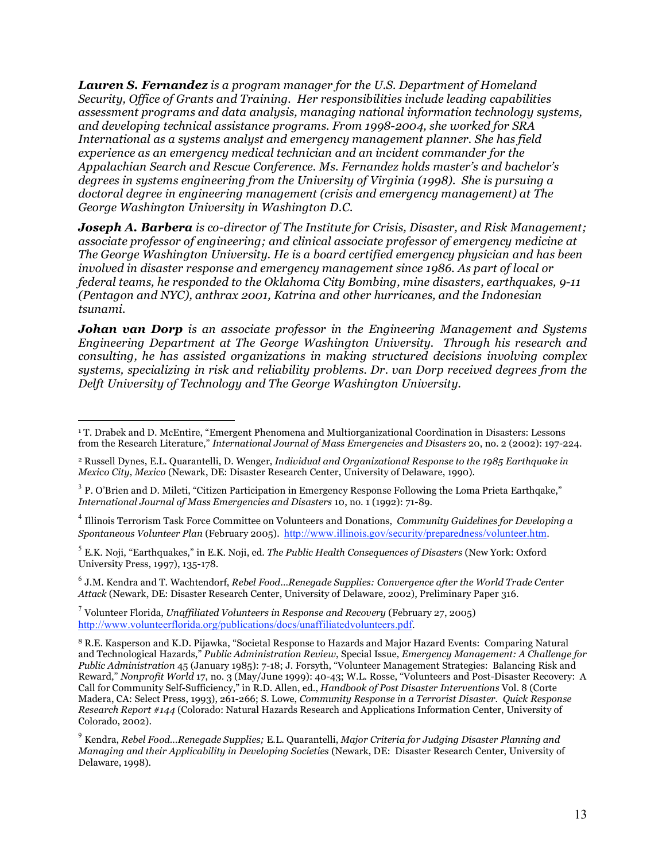*Lauren S. Fernandez is a program manager for the U.S. Department of Homeland Security, Office of Grants and Training. Her responsibilities include leading capabilities assessment programs and data analysis, managing national information technology systems, and developing technical assistance programs. From 1998-2004, she worked for SRA International as a systems analyst and emergency management planner. She has field experience as an emergency medical technician and an incident commander for the Appalachian Search and Rescue Conference. Ms. Fernandez holds master's and bachelor's degrees in systems engineering from the University of Virginia (1998). She is pursuing a doctoral degree in engineering management (crisis and emergency management) at The George Washington University in Washington D.C.*

*Joseph A. Barbera is co-director of The Institute for Crisis, Disaster, and Risk Management; associate professor of engineering; and clinical associate professor of emergency medicine at The George Washington University. He is a board certified emergency physician and has been involved in disaster response and emergency management since 1986. As part of local or federal teams, he responded to the Oklahoma City Bombing, mine disasters, earthquakes, 9-11 (Pentagon and NYC), anthrax 2001, Katrina and other hurricanes, and the Indonesian tsunami.*

*Johan van Dorp is an associate professor in the Engineering Management and Systems Engineering Department at The George Washington University. Through his research and consulting, he has assisted organizations in making structured decisions involving complex systems, specializing in risk and reliability problems. Dr. van Dorp received degrees from the Delft University of Technology and The George Washington University.*

 $\overline{a}$ 

<sup>1</sup> T. Drabek and D. McEntire, "Emergent Phenomena and Multiorganizational Coordination in Disasters: Lessons from the Research Literature," *International Journal of Mass Emergencies and Disasters* 20, no. 2 (2002): 197-224.

<sup>2</sup> Russell Dynes, E.L. Quarantelli, D. Wenger, *Individual and Organizational Response to the 1985 Earthquake in Mexico City, Mexico* (Newark, DE: Disaster Research Center, University of Delaware, 1990).

<sup>&</sup>lt;sup>3</sup> P. O'Brien and D. Mileti, "Citizen Participation in Emergency Response Following the Loma Prieta Earthqake," *International Journal of Mass Emergencies and Disasters* 10, no. 1 (1992): 71-89.

<sup>4</sup> Illinois Terrorism Task Force Committee on Volunteers and Donations, *Community Guidelines for Developing a Spontaneous Volunteer Plan* (February 2005). http://www.illinois.gov/security/preparedness/volunteer.htm.

<sup>5</sup> E.K. Noji, "Earthquakes," in E.K. Noji, ed. *The Public Health Consequences of Disasters* (New York: Oxford University Press, 1997), 135-178.

<sup>6</sup> J.M. Kendra and T. Wachtendorf, *Rebel Food…Renegade Supplies: Convergence after the World Trade Center Attack* (Newark, DE: Disaster Research Center, University of Delaware, 2002), Preliminary Paper 316.

<sup>7</sup> Volunteer Florida, *Unaffiliated Volunteers in Response and Recovery* (February 27, 2005) http://www.volunteerflorida.org/publications/docs/unaffiliatedvolunteers.pdf.

<sup>8</sup> R.E. Kasperson and K.D. Pijawka, "Societal Response to Hazards and Major Hazard Events: Comparing Natural and Technological Hazards," *Public Administration Review*, Special Issue*, Emergency Management: A Challenge for Public Administration* 45 (January 1985): 7-18; J. Forsyth, "Volunteer Management Strategies: Balancing Risk and Reward," *Nonprofit World* 17, no. 3 (May/June 1999): 40-43; W.L. Rosse, "Volunteers and Post-Disaster Recovery: A Call for Community Self-Sufficiency," in R.D. Allen, ed., *Handbook of Post Disaster Interventions* Vol. 8 (Corte Madera, CA: Select Press, 1993), 261-266; S. Lowe, *Community Response in a Terrorist Disaster. Quick Response Research Report #144* (Colorado: Natural Hazards Research and Applications Information Center, University of Colorado, 2002).

<sup>9</sup> Kendra, *Rebel Food…Renegade Supplies;* E.L. Quarantelli, *Major Criteria for Judging Disaster Planning and Managing and their Applicability in Developing Societies* (Newark, DE: Disaster Research Center, University of Delaware, 1998).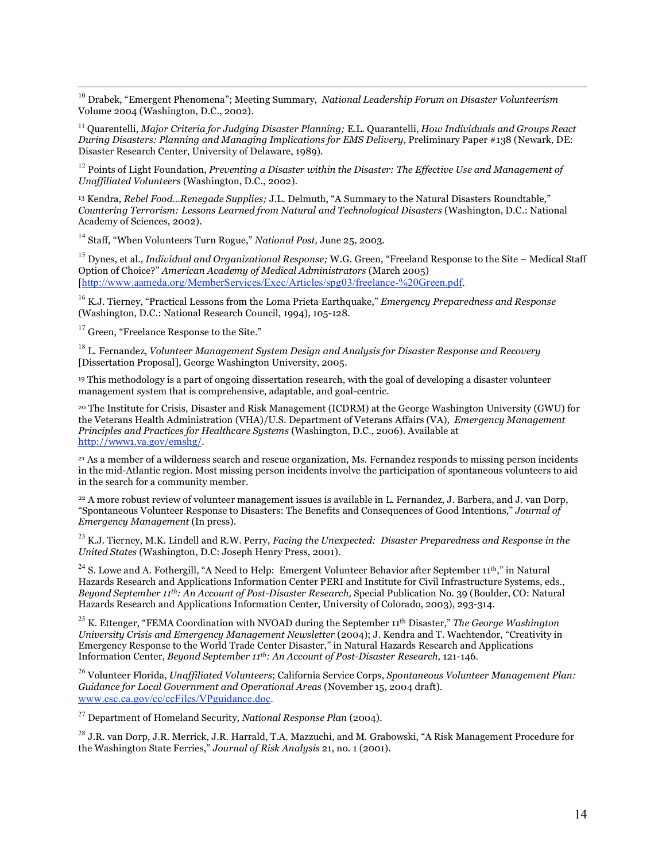10 Drabek, "Emergent Phenomena"; Meeting Summary, *National Leadership Forum on Disaster Volunteerism* Volume 2004 (Washington, D.C., 2002).

<sup>11</sup> Quarentelli, *Major Criteria for Judging Disaster Planning;* E.L. Quarantelli, *How Individuals and Groups React During Disasters: Planning and Managing Implications for EMS Delivery,* Preliminary Paper #138 (Newark, DE: Disaster Research Center, University of Delaware, 1989).

<sup>12</sup> Points of Light Foundation, *Preventing a Disaster within the Disaster: The Effective Use and Management of Unaffiliated Volunteers* (Washington, D.C., 2002).

<sup>13</sup> Kendra, *Rebel Food…Renegade Supplies;* J.L. Delmuth, "A Summary to the Natural Disasters Roundtable," *Countering Terrorism: Lessons Learned from Natural and Technological Disasters* (Washington, D.C.: National Academy of Sciences, 2002).

<sup>14</sup> Staff, "When Volunteers Turn Rogue," *National Post,* June 25, 2003.

<sup>15</sup> Dynes, et al., *Individual and Organizational Response;* W.G. Green, "Freeland Response to the Site – Medical Staff Option of Choice?" *American Academy of Medical Administrators* (March 2005) [http://www.aameda.org/MemberServices/Exec/Articles/spg03/freelance-%20Green.pdf.

<sup>16</sup> K.J. Tierney, "Practical Lessons from the Loma Prieta Earthquake," *Emergency Preparedness and Response* (Washington, D.C.: National Research Council, 1994), 105-128.

<sup>17</sup> Green, "Freelance Response to the Site."

<sup>18</sup> L. Fernandez, *Volunteer Management System Design and Analysis for Disaster Response and Recovery* [Dissertation Proposal], George Washington University, 2005.

<sup>19</sup> This methodology is a part of ongoing dissertation research, with the goal of developing a disaster volunteer management system that is comprehensive, adaptable, and goal-centric.

<sup>20</sup> The Institute for Crisis, Disaster and Risk Management (ICDRM) at the George Washington University (GWU) for the Veterans Health Administration (VHA)/U.S. Department of Veterans Affairs (VA), *Emergency Management Principles and Practices for Healthcare Systems* (Washington, D.C., 2006). Available at http://www1.va.gov/emshg/.

<sup>21</sup> As a member of a wilderness search and rescue organization, Ms. Fernandez responds to missing person incidents in the mid-Atlantic region. Most missing person incidents involve the participation of spontaneous volunteers to aid in the search for a community member.

<sup>22</sup> A more robust review of volunteer management issues is available in L. Fernandez, J. Barbera, and J. van Dorp, "Spontaneous Volunteer Response to Disasters: The Benefits and Consequences of Good Intentions," *Journal of Emergency Management* (In press).

<sup>23</sup> K.J. Tierney, M.K. Lindell and R.W. Perry, *Facing the Unexpected: Disaster Preparedness and Response in the United States* (Washington, D.C: Joseph Henry Press, 2001).

<sup>24</sup> S. Lowe and A. Fothergill, "A Need to Help: Emergent Volunteer Behavior after September 11<sup>th</sup>," in Natural Hazards Research and Applications Information Center PERI and Institute for Civil Infrastructure Systems, eds., *Beyond September 11th: An Account of Post-Disaster Research,* Special Publication No. 39 (Boulder, CO: Natural Hazards Research and Applications Information Center, University of Colorado, 2003), 293-314.

<sup>25</sup> K. Ettenger, "FEMA Coordination with NVOAD during the September 11th Disaster," *The George Washington University Crisis and Emergency Management Newsletter* (2004); J. Kendra and T. Wachtendor, "Creativity in Emergency Response to the World Trade Center Disaster," in Natural Hazards Research and Applications Information Center, *Beyond September 11th: An Account of Post-Disaster Research,* 121-146.

<sup>26</sup> Volunteer Florida, *Unaffiliated Volunteers*; California Service Corps, *Spontaneous Volunteer Management Plan: Guidance for Local Government and Operational Areas* (November 15, 2004 draft). www.csc.ca.gov/cc/ccFiles/VPguidance.doc.

<sup>27</sup> Department of Homeland Security, *National Response Plan* (2004).

<sup>28</sup> J.R. van Dorp, J.R. Merrick, J.R. Harrald, T.A. Mazzuchi, and M. Grabowski, "A Risk Management Procedure for the Washington State Ferries," *Journal of Risk Analysis* 21, no. 1 (2001).